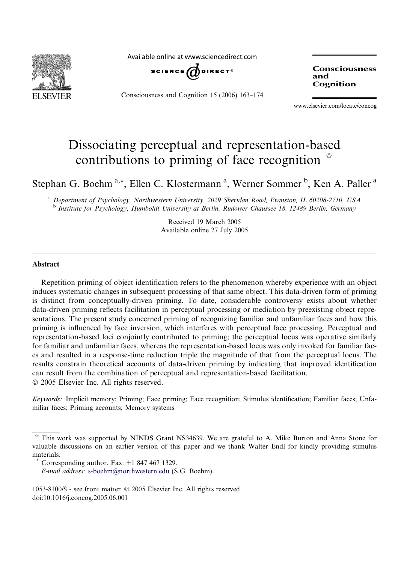

Available online at www.sciencedirect.com



Consciousness and Cognition 15 (2006) 163–174

Consciousness and Cognition

www.elsevier.com/locate/concog

# Dissociating perceptual and representation-based contributions to priming of face recognition  $\overrightarrow{a}$

Stephan G. Boehm<sup>a,\*</sup>, Ellen C. Klostermann<sup>a</sup>, Werner Sommer<sup>b</sup>, Ken A. Paller<sup>a</sup>

<sup>a</sup> Department of Psychology, Northwestern University, 2029 Sheridan Road, Evanston, IL 60208-2710, USA <sup>b</sup> Institute for Psychology, Humboldt University at Berlin, Rudower Chaussee 18, 12489 Berlin, Germany

> Received 19 March 2005 Available online 27 July 2005

#### Abstract

Repetition priming of object identification refers to the phenomenon whereby experience with an object induces systematic changes in subsequent processing of that same object. This data-driven form of priming is distinct from conceptually-driven priming. To date, considerable controversy exists about whether data-driven priming reflects facilitation in perceptual processing or mediation by preexisting object representations. The present study concerned priming of recognizing familiar and unfamiliar faces and how this priming is influenced by face inversion, which interferes with perceptual face processing. Perceptual and representation-based loci conjointly contributed to priming; the perceptual locus was operative similarly for familiar and unfamiliar faces, whereas the representation-based locus was only invoked for familiar faces and resulted in a response-time reduction triple the magnitude of that from the perceptual locus. The results constrain theoretical accounts of data-driven priming by indicating that improved identification can result from the combination of perceptual and representation-based facilitation. © 2005 Elsevier Inc. All rights reserved.

Keywords: Implicit memory; Priming; Face priming; Face recognition; Stimulus identification; Familiar faces; Unfamiliar faces; Priming accounts; Memory systems

1053-8100/\$ - see front matter © 2005 Elsevier Inc. All rights reserved. doi:10.1016/j.concog.2005.06.001

 $\dot{\gamma}$  This work was supported by NINDS Grant NS34639. We are grateful to A. Mike Burton and Anna Stone for valuable discussions on an earlier version of this paper and we thank Walter Endl for kindly providing stimulus materials.

Corresponding author. Fax:  $+1$  847 467 1329.

E-mail address: [s-boehm@northwestern.edu](mailto:s-boehm@northwestern.edu) (S.G. Boehm).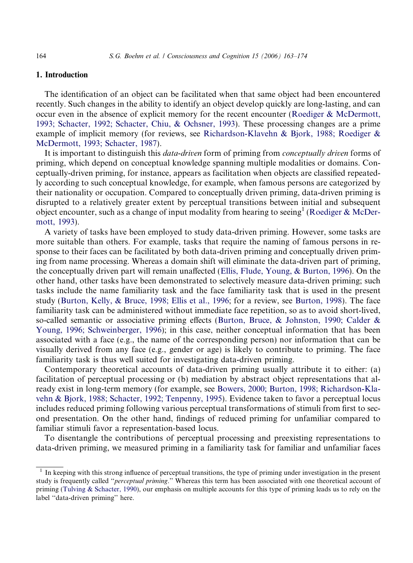## 1. Introduction

The identification of an object can be facilitated when that same object had been encountered recently. Such changes in the ability to identify an object develop quickly are long-lasting, and can occur even in the absence of explicit memory for the recent encounter ([Roediger & McDermott,](#page-10-0) [1993; Schacter, 1992; Schacter, Chiu, & Ochsner, 1993\)](#page-10-0). These processing changes are a prime example of implicit memory (for reviews, see [Richardson-Klavehn & Bjork, 1988; Roediger &](#page-10-0) [McDermott, 1993; Schacter, 1987\)](#page-10-0).

It is important to distinguish this *data-driven* form of priming from *conceptually driven* forms of priming, which depend on conceptual knowledge spanning multiple modalities or domains. Conceptually-driven priming, for instance, appears as facilitation when objects are classified repeatedly according to such conceptual knowledge, for example, when famous persons are categorized by their nationality or occupation. Compared to conceptually driven priming, data-driven priming is disrupted to a relatively greater extent by perceptual transitions between initial and subsequent object encounter, such as a change of input modality from hearing to seeing<sup>1</sup> ([Roediger & McDer](#page-10-0)[mott, 1993](#page-10-0)).

A variety of tasks have been employed to study data-driven priming. However, some tasks are more suitable than others. For example, tasks that require the naming of famous persons in response to their faces can be facilitated by both data-driven priming and conceptually driven priming from name processing. Whereas a domain shift will eliminate the data-driven part of priming, the conceptually driven part will remain unaffected ([Ellis, Flude, Young, & Burton, 1996](#page-10-0)). On the other hand, other tasks have been demonstrated to selectively measure data-driven priming; such tasks include the name familiarity task and the face familiarity task that is used in the present study [\(Burton, Kelly, & Bruce, 1998; Ellis et al., 1996](#page-10-0); for a review, see [Burton, 1998](#page-10-0)). The face familiarity task can be administered without immediate face repetition, so as to avoid short-lived, so-called semantic or associative priming effects [\(Burton, Bruce, & Johnston, 1990; Calder &](#page-10-0) [Young, 1996; Schweinberger, 1996](#page-10-0)); in this case, neither conceptual information that has been associated with a face (e.g., the name of the corresponding person) nor information that can be visually derived from any face (e.g., gender or age) is likely to contribute to priming. The face familiarity task is thus well suited for investigating data-driven priming.

Contemporary theoretical accounts of data-driven priming usually attribute it to either: (a) facilitation of perceptual processing or (b) mediation by abstract object representations that already exist in long-term memory (for example, see [Bowers, 2000; Burton, 1998; Richardson-Kla](#page-9-0)[vehn & Bjork, 1988; Schacter, 1992; Tenpenny, 1995\)](#page-9-0). Evidence taken to favor a perceptual locus includes reduced priming following various perceptual transformations of stimuli from first to second presentation. On the other hand, findings of reduced priming for unfamiliar compared to familiar stimuli favor a representation-based locus.

To disentangle the contributions of perceptual processing and preexisting representations to data-driven priming, we measured priming in a familiarity task for familiar and unfamiliar faces

 $1$  In keeping with this strong influence of perceptual transitions, the type of priming under investigation in the present study is frequently called ''perceptual priming.'' Whereas this term has been associated with one theoretical account of priming [\(Tulving & Schacter, 1990](#page-11-0)), our emphasis on multiple accounts for this type of priming leads us to rely on the label ''data-driven priming'' here.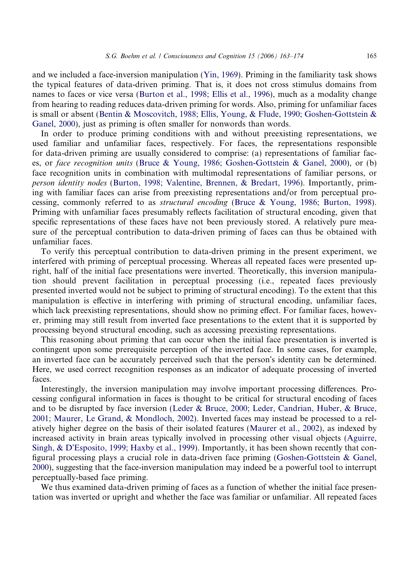and we included a face-inversion manipulation [\(Yin, 1969\)](#page-11-0). Priming in the familiarity task shows the typical features of data-driven priming. That is, it does not cross stimulus domains from names to faces or vice versa [\(Burton et al., 1998; Ellis et al., 1996\)](#page-10-0), much as a modality change from hearing to reading reduces data-driven priming for words. Also, priming for unfamiliar faces is small or absent ([Bentin & Moscovitch, 1988; Ellis, Young, & Flude, 1990; Goshen-Gottstein &](#page-9-0) [Ganel, 2000](#page-9-0)), just as priming is often smaller for nonwords than words.

In order to produce priming conditions with and without preexisting representations, we used familiar and unfamiliar faces, respectively. For faces, the representations responsible for data-driven priming are usually considered to comprise: (a) representations of familiar faces, or face recognition units [\(Bruce & Young, 1986; Goshen-Gottstein & Ganel, 2000](#page-9-0)), or (b) face recognition units in combination with multimodal representations of familiar persons, or person identity nodes [\(Burton, 1998; Valentine, Brennen, & Bredart, 1996\)](#page-10-0). Importantly, priming with familiar faces can arise from preexisting representations and/or from perceptual processing, commonly referred to as structural encoding [\(Bruce & Young, 1986; Burton, 1998](#page-9-0)). Priming with unfamiliar faces presumably reflects facilitation of structural encoding, given that specific representations of these faces have not been previously stored. A relatively pure measure of the perceptual contribution to data-driven priming of faces can thus be obtained with unfamiliar faces.

To verify this perceptual contribution to data-driven priming in the present experiment, we interfered with priming of perceptual processing. Whereas all repeated faces were presented upright, half of the initial face presentations were inverted. Theoretically, this inversion manipulation should prevent facilitation in perceptual processing (i.e., repeated faces previously presented inverted would not be subject to priming of structural encoding). To the extent that this manipulation is effective in interfering with priming of structural encoding, unfamiliar faces, which lack preexisting representations, should show no priming effect. For familiar faces, however, priming may still result from inverted face presentations to the extent that it is supported by processing beyond structural encoding, such as accessing preexisting representations.

This reasoning about priming that can occur when the initial face presentation is inverted is contingent upon some prerequisite perception of the inverted face. In some cases, for example, an inverted face can be accurately perceived such that the person's identity can be determined. Here, we used correct recognition responses as an indicator of adequate processing of inverted faces.

Interestingly, the inversion manipulation may involve important processing differences. Processing configural information in faces is thought to be critical for structural encoding of faces and to be disrupted by face inversion [\(Leder & Bruce, 2000; Leder, Candrian, Huber, & Bruce,](#page-10-0) [2001; Maurer, Le Grand, & Mondloch, 2002\)](#page-10-0). Inverted faces may instead be processed to a relatively higher degree on the basis of their isolated features [\(Maurer et al., 2002](#page-10-0)), as indexed by increased activity in brain areas typically involved in processing other visual objects ([Aguirre,](#page-9-0) Singh, & D'[Esposito, 1999; Haxby et al., 1999\)](#page-9-0). Importantly, it has been shown recently that configural processing plays a crucial role in data-driven face priming ([Goshen-Gottstein & Ganel,](#page-10-0) [2000](#page-10-0)), suggesting that the face-inversion manipulation may indeed be a powerful tool to interrupt perceptually-based face priming.

We thus examined data-driven priming of faces as a function of whether the initial face presentation was inverted or upright and whether the face was familiar or unfamiliar. All repeated faces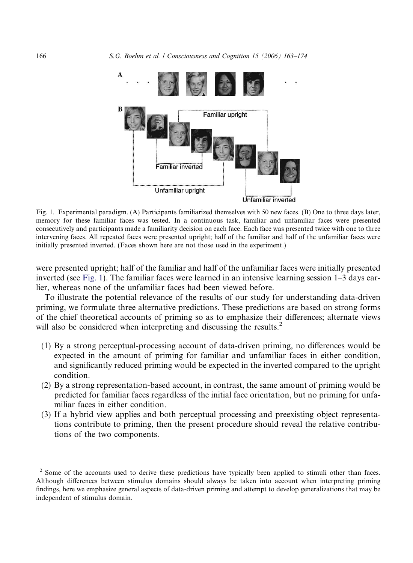<span id="page-3-0"></span>

Fig. 1. Experimental paradigm. (A) Participants familiarized themselves with 50 new faces. (B) One to three days later, memory for these familiar faces was tested. In a continuous task, familiar and unfamiliar faces were presented consecutively and participants made a familiarity decision on each face. Each face was presented twice with one to three intervening faces. All repeated faces were presented upright; half of the familiar and half of the unfamiliar faces were initially presented inverted. (Faces shown here are not those used in the experiment.)

were presented upright; half of the familiar and half of the unfamiliar faces were initially presented inverted (see Fig. 1). The familiar faces were learned in an intensive learning session 1–3 days earlier, whereas none of the unfamiliar faces had been viewed before.

To illustrate the potential relevance of the results of our study for understanding data-driven priming, we formulate three alternative predictions. These predictions are based on strong forms of the chief theoretical accounts of priming so as to emphasize their differences; alternate views will also be considered when interpreting and discussing the results.<sup>2</sup>

- (1) By a strong perceptual-processing account of data-driven priming, no differences would be expected in the amount of priming for familiar and unfamiliar faces in either condition, and significantly reduced priming would be expected in the inverted compared to the upright condition.
- (2) By a strong representation-based account, in contrast, the same amount of priming would be predicted for familiar faces regardless of the initial face orientation, but no priming for unfamiliar faces in either condition.
- (3) If a hybrid view applies and both perceptual processing and preexisting object representations contribute to priming, then the present procedure should reveal the relative contributions of the two components.

<sup>&</sup>lt;sup>2</sup> Some of the accounts used to derive these predictions have typically been applied to stimuli other than faces. Although differences between stimulus domains should always be taken into account when interpreting priming findings, here we emphasize general aspects of data-driven priming and attempt to develop generalizations that may be independent of stimulus domain.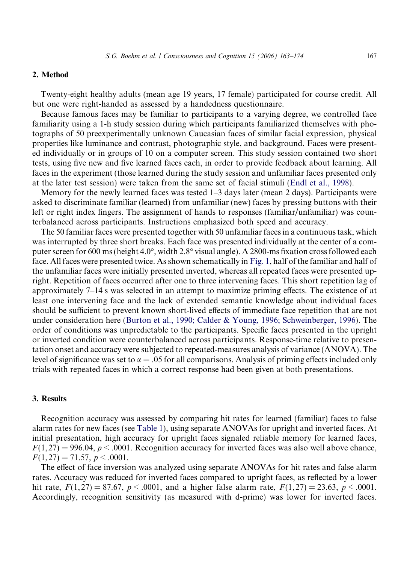## 2. Method

Twenty-eight healthy adults (mean age 19 years, 17 female) participated for course credit. All but one were right-handed as assessed by a handedness questionnaire.

Because famous faces may be familiar to participants to a varying degree, we controlled face familiarity using a 1-h study session during which participants familiarized themselves with photographs of 50 preexperimentally unknown Caucasian faces of similar facial expression, physical properties like luminance and contrast, photographic style, and background. Faces were presented individually or in groups of 10 on a computer screen. This study session contained two short tests, using five new and five learned faces each, in order to provide feedback about learning. All faces in the experiment (those learned during the study session and unfamiliar faces presented only at the later test session) were taken from the same set of facial stimuli [\(Endl et al., 1998](#page-10-0)).

Memory for the newly learned faces was tested 1–3 days later (mean 2 days). Participants were asked to discriminate familiar (learned) from unfamiliar (new) faces by pressing buttons with their left or right index fingers. The assignment of hands to responses (familiar/unfamiliar) was counterbalanced across participants. Instructions emphasized both speed and accuracy.

The 50 familiar faces were presented together with 50 unfamiliar faces in a continuous task, which was interrupted by three short breaks. Each face was presented individually at the center of a computer screen for 600 ms (height 4.0°, width 2.8° visual angle). A 2800-ms fixation cross followed each face. All faces were presented twice. As shown schematically in [Fig. 1](#page-3-0), half of the familiar and half of the unfamiliar faces were initially presented inverted, whereas all repeated faces were presented upright. Repetition of faces occurred after one to three intervening faces. This short repetition lag of approximately 7–14 s was selected in an attempt to maximize priming effects. The existence of at least one intervening face and the lack of extended semantic knowledge about individual faces should be sufficient to prevent known short-lived effects of immediate face repetition that are not under consideration here [\(Burton et al., 1990; Calder & Young, 1996; Schweinberger, 1996\)](#page-10-0). The order of conditions was unpredictable to the participants. Specific faces presented in the upright or inverted condition were counterbalanced across participants. Response-time relative to presentation onset and accuracy were subjected to repeated-measures analysis of variance (ANOVA). The level of significance was set to  $\alpha = 0.05$  for all comparisons. Analysis of priming effects included only trials with repeated faces in which a correct response had been given at both presentations.

#### 3. Results

Recognition accuracy was assessed by comparing hit rates for learned (familiar) faces to false alarm rates for new faces (see [Table 1](#page-5-0)), using separate ANOVAs for upright and inverted faces. At initial presentation, high accuracy for upright faces signaled reliable memory for learned faces,  $F(1, 27) = 996.04$ ,  $p < .0001$ . Recognition accuracy for inverted faces was also well above chance,  $F(1, 27) = 71.57, p \le 0.0001.$ 

The effect of face inversion was analyzed using separate ANOVAs for hit rates and false alarm rates. Accuracy was reduced for inverted faces compared to upright faces, as reflected by a lower hit rate,  $F(1, 27) = 87.67$ ,  $p < .0001$ , and a higher false alarm rate,  $F(1, 27) = 23.63$ ,  $p < .0001$ . Accordingly, recognition sensitivity (as measured with d-prime) was lower for inverted faces.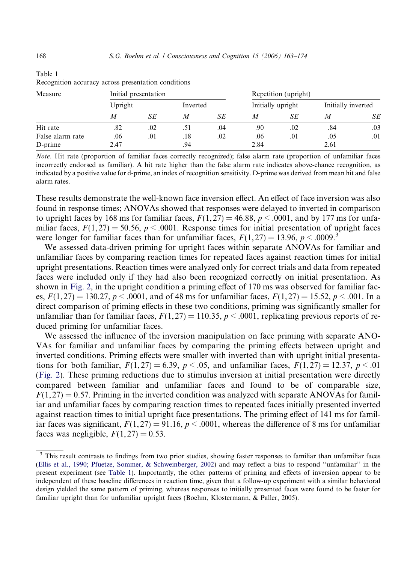| Measure          | Initial presentation |     |          |     | Repetition (upright) |     |                    |     |
|------------------|----------------------|-----|----------|-----|----------------------|-----|--------------------|-----|
|                  | Upright              |     | Inverted |     | Initially upright    |     | Initially inverted |     |
|                  | M                    | SE  | M        | SE  | M                    | SE  | M                  | SE  |
| Hit rate         | .82                  | .02 |          | .04 | .90                  | .02 | .84                | .03 |
| False alarm rate | .06                  | .01 | .18      | .02 | .06                  | .01 | .05                | .01 |
| D-prime          | 2.47                 |     | .94      |     | 2.84                 |     | 2.61               |     |

Recognition accuracy across presentation conditions

Note. Hit rate (proportion of familiar faces correctly recognized); false alarm rate (proportion of unfamiliar faces incorrectly endorsed as familiar). A hit rate higher than the false alarm rate indicates above-chance recognition, as indicated by a positive value for d-prime, an index of recognition sensitivity. D-prime was derived from mean hit and false alarm rates.

These results demonstrate the well-known face inversion effect. An effect of face inversion was also found in response times; ANOVAs showed that responses were delayed to inverted in comparison to upright faces by 168 ms for familiar faces,  $F(1, 27) = 46.88$ ,  $p < .0001$ , and by 177 ms for unfamiliar faces,  $F(1, 27) = 50.56$ ,  $p < .0001$ . Response times for initial presentation of upright faces were longer for familiar faces than for unfamiliar faces,  $F(1, 27) = 13.96$ ,  $p < .0009$ .<sup>3</sup>

We assessed data-driven priming for upright faces within separate ANOVAs for familiar and unfamiliar faces by comparing reaction times for repeated faces against reaction times for initial upright presentations. Reaction times were analyzed only for correct trials and data from repeated faces were included only if they had also been recognized correctly on initial presentation. As shown in [Fig. 2,](#page-6-0) in the upright condition a priming effect of 170 ms was observed for familiar faces,  $F(1, 27) = 130.27$ ,  $p < .0001$ , and of 48 ms for unfamiliar faces,  $F(1, 27) = 15.52$ ,  $p < .001$ . In a direct comparison of priming effects in these two conditions, priming was significantly smaller for unfamiliar than for familiar faces,  $F(1, 27) = 110.35$ ,  $p < .0001$ , replicating previous reports of reduced priming for unfamiliar faces.

We assessed the influence of the inversion manipulation on face priming with separate ANO-VAs for familiar and unfamiliar faces by comparing the priming effects between upright and inverted conditions. Priming effects were smaller with inverted than with upright initial presentations for both familiar,  $F(1, 27) = 6.39$ ,  $p < .05$ , and unfamiliar faces,  $F(1, 27) = 12.37$ ,  $p < .01$ [\(Fig. 2\)](#page-6-0). These priming reductions due to stimulus inversion at initial presentation were directly compared between familiar and unfamiliar faces and found to be of comparable size,  $F(1, 27) = 0.57$ . Priming in the inverted condition was analyzed with separate ANOVAs for familiar and unfamiliar faces by comparing reaction times to repeated faces initially presented inverted against reaction times to initial upright face presentations. The priming effect of 141 ms for familiar faces was significant,  $F(1, 27) = 91.16$ ,  $p < .0001$ , whereas the difference of 8 ms for unfamiliar faces was negligible,  $F(1, 27) = 0.53$ .

<span id="page-5-0"></span>Table 1

<sup>&</sup>lt;sup>3</sup> This result contrasts to findings from two prior studies, showing faster responses to familiar than unfamiliar faces [\(Ellis et al., 1990; Pfuetze, Sommer, & Schweinberger, 2002](#page-10-0)) and may reflect a bias to respond ''unfamiliar'' in the present experiment (see Table 1). Importantly, the other patterns of priming and effects of inversion appear to be independent of these baseline differences in reaction time, given that a follow-up experiment with a similar behavioral design yielded the same pattern of priming, whereas responses to initially presented faces were found to be faster for familiar upright than for unfamiliar upright faces (Boehm, Klostermann, & Paller, 2005).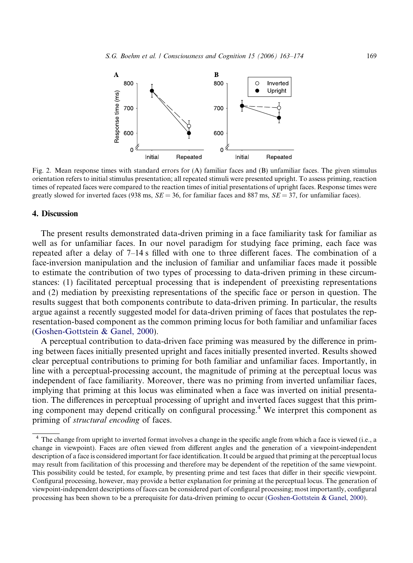<span id="page-6-0"></span>

Fig. 2. Mean response times with standard errors for (A) familiar faces and (B) unfamiliar faces. The given stimulus orientation refers to initial stimulus presentation; all repeated stimuli were presented upright. To assess priming, reaction times of repeated faces were compared to the reaction times of initial presentations of upright faces. Response times were greatly slowed for inverted faces (938 ms,  $SE = 36$ , for familiar faces and 887 ms,  $SE = 37$ , for unfamiliar faces).

### 4. Discussion

The present results demonstrated data-driven priming in a face familiarity task for familiar as well as for unfamiliar faces. In our novel paradigm for studying face priming, each face was repeated after a delay of 7–14 s filled with one to three different faces. The combination of a face-inversion manipulation and the inclusion of familiar and unfamiliar faces made it possible to estimate the contribution of two types of processing to data-driven priming in these circumstances: (1) facilitated perceptual processing that is independent of preexisting representations and (2) mediation by preexisting representations of the specific face or person in question. The results suggest that both components contribute to data-driven priming. In particular, the results argue against a recently suggested model for data-driven priming of faces that postulates the representation-based component as the common priming locus for both familiar and unfamiliar faces [\(Goshen-Gottstein & Ganel, 2000\)](#page-10-0).

A perceptual contribution to data-driven face priming was measured by the difference in priming between faces initially presented upright and faces initially presented inverted. Results showed clear perceptual contributions to priming for both familiar and unfamiliar faces. Importantly, in line with a perceptual-processing account, the magnitude of priming at the perceptual locus was independent of face familiarity. Moreover, there was no priming from inverted unfamiliar faces, implying that priming at this locus was eliminated when a face was inverted on initial presentation. The differences in perceptual processing of upright and inverted faces suggest that this priming component may depend critically on configural processing.<sup>4</sup> We interpret this component as priming of structural encoding of faces.

The change from upright to inverted format involves a change in the specific angle from which a face is viewed (i.e., a change in viewpoint). Faces are often viewed from different angles and the generation of a viewpoint-independent description of a face is considered important for face identification. It could be argued that priming at the perceptual locus may result from facilitation of this processing and therefore may be dependent of the repetition of the same viewpoint. This possibility could be tested, for example, by presenting prime and test faces that differ in their specific viewpoint. Configural processing, however, may provide a better explanation for priming at the perceptual locus. The generation of viewpoint-independent descriptions of faces can be considered part of configural processing; most importantly, configural processing has been shown to be a prerequisite for data-driven priming to occur [\(Goshen-Gottstein & Ganel, 2000](#page-10-0)).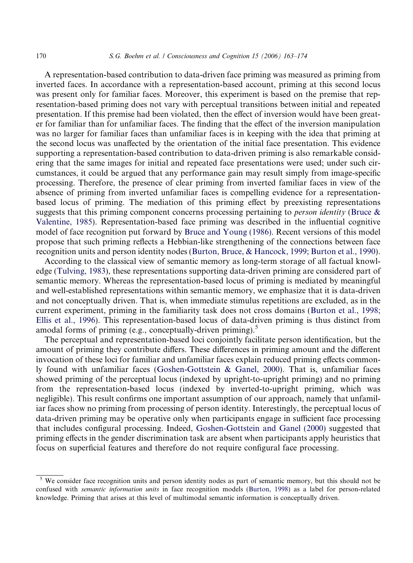#### 170 S.G. Boehm et al. / Consciousness and Cognition 15 (2006) 163–174

A representation-based contribution to data-driven face priming was measured as priming from inverted faces. In accordance with a representation-based account, priming at this second locus was present only for familiar faces. Moreover, this experiment is based on the premise that representation-based priming does not vary with perceptual transitions between initial and repeated presentation. If this premise had been violated, then the effect of inversion would have been greater for familiar than for unfamiliar faces. The finding that the effect of the inversion manipulation was no larger for familiar faces than unfamiliar faces is in keeping with the idea that priming at the second locus was unaffected by the orientation of the initial face presentation. This evidence supporting a representation-based contribution to data-driven priming is also remarkable considering that the same images for initial and repeated face presentations were used; under such circumstances, it could be argued that any performance gain may result simply from image-specific processing. Therefore, the presence of clear priming from inverted familiar faces in view of the absence of priming from inverted unfamiliar faces is compelling evidence for a representationbased locus of priming. The mediation of this priming effect by preexisting representations suggests that this priming component concerns processing pertaining to *person identity* ([Bruce &](#page-9-0) [Valentine, 1985\)](#page-9-0). Representation-based face priming was described in the influential cognitive model of face recognition put forward by [Bruce and Young \(1986\)](#page-9-0). Recent versions of this model propose that such priming reflects a Hebbian-like strengthening of the connections between face recognition units and person identity nodes [\(Burton, Bruce, & Hancock, 1999; Burton et al., 1990](#page-10-0)).

According to the classical view of semantic memory as long-term storage of all factual knowledge [\(Tulving, 1983](#page-11-0)), these representations supporting data-driven priming are considered part of semantic memory. Whereas the representation-based locus of priming is mediated by meaningful and well-established representations within semantic memory, we emphasize that it is data-driven and not conceptually driven. That is, when immediate stimulus repetitions are excluded, as in the current experiment, priming in the familiarity task does not cross domains [\(Burton et al., 1998;](#page-10-0) [Ellis et al., 1996\)](#page-10-0). This representation-based locus of data-driven priming is thus distinct from amodal forms of priming (e.g., conceptually-driven priming).<sup>5</sup>

The perceptual and representation-based loci conjointly facilitate person identification, but the amount of priming they contribute differs. These differences in priming amount and the different invocation of these loci for familiar and unfamiliar faces explain reduced priming effects commonly found with unfamiliar faces [\(Goshen-Gottstein & Ganel, 2000\)](#page-10-0). That is, unfamiliar faces showed priming of the perceptual locus (indexed by upright-to-upright priming) and no priming from the representation-based locus (indexed by inverted-to-upright priming, which was negligible). This result confirms one important assumption of our approach, namely that unfamiliar faces show no priming from processing of person identity. Interestingly, the perceptual locus of data-driven priming may be operative only when participants engage in sufficient face processing that includes configural processing. Indeed, [Goshen-Gottstein and Ganel \(2000\)](#page-10-0) suggested that priming effects in the gender discrimination task are absent when participants apply heuristics that focus on superficial features and therefore do not require configural face processing.

<sup>&</sup>lt;sup>5</sup> We consider face recognition units and person identity nodes as part of semantic memory, but this should not be confused with *semantic information units* in face recognition models [\(Burton, 1998](#page-10-0)) as a label for person-related knowledge. Priming that arises at this level of multimodal semantic information is conceptually driven.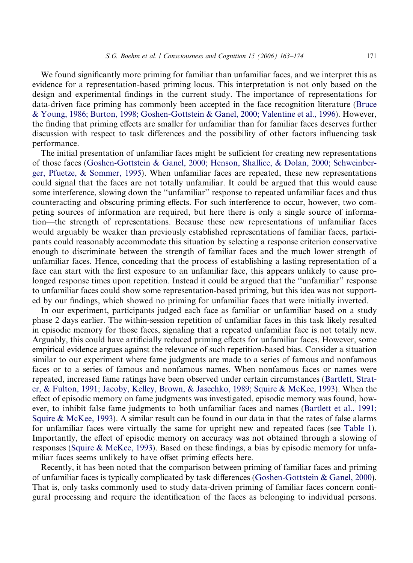We found significantly more priming for familiar than unfamiliar faces, and we interpret this as evidence for a representation-based priming locus. This interpretation is not only based on the design and experimental findings in the current study. The importance of representations for data-driven face priming has commonly been accepted in the face recognition literature ([Bruce](#page-9-0) [& Young, 1986; Burton, 1998; Goshen-Gottstein & Ganel, 2000; Valentine et al., 1996](#page-9-0)). However, the finding that priming effects are smaller for unfamiliar than for familiar faces deserves further discussion with respect to task differences and the possibility of other factors influencing task performance.

The initial presentation of unfamiliar faces might be sufficient for creating new representations of those faces [\(Goshen-Gottstein & Ganel, 2000; Henson, Shallice, & Dolan, 2000; Schweinber](#page-10-0)[ger, Pfuetze, & Sommer, 1995\)](#page-10-0). When unfamiliar faces are repeated, these new representations could signal that the faces are not totally unfamiliar. It could be argued that this would cause some interference, slowing down the ''unfamiliar'' response to repeated unfamiliar faces and thus counteracting and obscuring priming effects. For such interference to occur, however, two competing sources of information are required, but here there is only a single source of information—the strength of representations. Because these new representations of unfamiliar faces would arguably be weaker than previously established representations of familiar faces, participants could reasonably accommodate this situation by selecting a response criterion conservative enough to discriminate between the strength of familiar faces and the much lower strength of unfamiliar faces. Hence, conceding that the process of establishing a lasting representation of a face can start with the first exposure to an unfamiliar face, this appears unlikely to cause prolonged response times upon repetition. Instead it could be argued that the ''unfamiliar'' response to unfamiliar faces could show some representation-based priming, but this idea was not supported by our findings, which showed no priming for unfamiliar faces that were initially inverted.

In our experiment, participants judged each face as familiar or unfamiliar based on a study phase 2 days earlier. The within-session repetition of unfamiliar faces in this task likely resulted in episodic memory for those faces, signaling that a repeated unfamiliar face is not totally new. Arguably, this could have artificially reduced priming effects for unfamiliar faces. However, some empirical evidence argues against the relevance of such repetition-based bias. Consider a situation similar to our experiment where fame judgments are made to a series of famous and nonfamous faces or to a series of famous and nonfamous names. When nonfamous faces or names were repeated, increased fame ratings have been observed under certain circumstances [\(Bartlett, Strat](#page-9-0)[er, & Fulton, 1991; Jacoby, Kelley, Brown, & Jasechko, 1989; Squire & McKee, 1993\)](#page-9-0). When the effect of episodic memory on fame judgments was investigated, episodic memory was found, however, to inhibit false fame judgments to both unfamiliar faces and names [\(Bartlett et al., 1991;](#page-9-0) [Squire & McKee, 1993\)](#page-9-0). A similar result can be found in our data in that the rates of false alarms for unfamiliar faces were virtually the same for upright new and repeated faces (see [Table 1](#page-5-0)). Importantly, the effect of episodic memory on accuracy was not obtained through a slowing of responses ([Squire & McKee, 1993](#page-10-0)). Based on these findings, a bias by episodic memory for unfamiliar faces seems unlikely to have offset priming effects here.

Recently, it has been noted that the comparison between priming of familiar faces and priming of unfamiliar faces is typically complicated by task differences [\(Goshen-Gottstein & Ganel, 2000](#page-10-0)). That is, only tasks commonly used to study data-driven priming of familiar faces concern configural processing and require the identification of the faces as belonging to individual persons.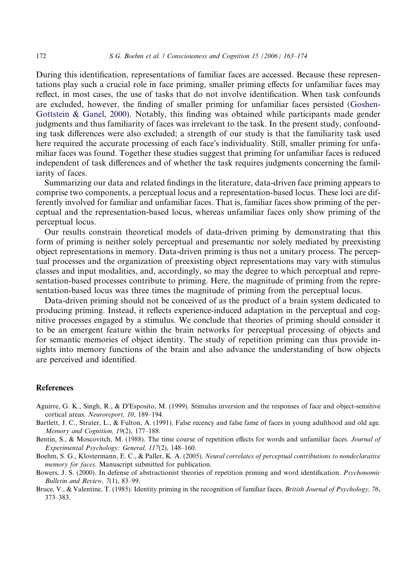<span id="page-9-0"></span>During this identification, representations of familiar faces are accessed. Because these representations play such a crucial role in face priming, smaller priming effects for unfamiliar faces may reflect, in most cases, the use of tasks that do not involve identification. When task confounds are excluded, however, the finding of smaller priming for unfamiliar faces persisted ([Goshen-](#page-10-0)[Gottstein & Ganel, 2000\)](#page-10-0). Notably, this finding was obtained while participants made gender judgments and thus familiarity of faces was irrelevant to the task. In the present study, confounding task differences were also excluded; a strength of our study is that the familiarity task used here required the accurate processing of each face's individuality. Still, smaller priming for unfamiliar faces was found. Together these studies suggest that priming for unfamiliar faces is reduced independent of task differences and of whether the task requires judgments concerning the familiarity of faces.

Summarizing our data and related findings in the literature, data-driven face priming appears to comprise two components, a perceptual locus and a representation-based locus. These loci are differently involved for familiar and unfamiliar faces. That is, familiar faces show priming of the perceptual and the representation-based locus, whereas unfamiliar faces only show priming of the perceptual locus.

Our results constrain theoretical models of data-driven priming by demonstrating that this form of priming is neither solely perceptual and presemantic nor solely mediated by preexisting object representations in memory. Data-driven priming is thus not a unitary process. The perceptual processes and the organization of preexisting object representations may vary with stimulus classes and input modalities, and, accordingly, so may the degree to which perceptual and representation-based processes contribute to priming. Here, the magnitude of priming from the representation-based locus was three times the magnitude of priming from the perceptual locus.

Data-driven priming should not be conceived of as the product of a brain system dedicated to producing priming. Instead, it reflects experience-induced adaptation in the perceptual and cognitive processes engaged by a stimulus. We conclude that theories of priming should consider it to be an emergent feature within the brain networks for perceptual processing of objects and for semantic memories of object identity. The study of repetition priming can thus provide insights into memory functions of the brain and also advance the understanding of how objects are perceived and identified.

## **References**

- Aguirre, G. K., Singh, R., & D'Esposito, M. (1999). Stimulus inversion and the responses of face and object-sensitive cortical areas. Neuroreport, 10, 189–194.
- Bartlett, J. C., Strater, L., & Fulton, A. (1991). False recency and false fame of faces in young adulthood and old age. Memory and Cognition, 19(2), 177-188.
- Bentin, S., & Moscovitch, M. (1988). The time course of repetition effects for words and unfamiliar faces. Journal of Experimental Psychology: General, 117(2), 148–160.
- Boehm, S. G., Klostermann, E. C., & Paller, K. A. (2005). Neural correlates of perceptual contributions to nondeclarative memory for faces. Manuscript submitted for publication.
- Bowers, J. S. (2000). In defense of abstractionist theories of repetition priming and word identification. *Psychonomic* Bulletin and Review, 7(1), 83–99.
- Bruce, V., & Valentine, T. (1985). Identity priming in the recognition of familiar faces. British Journal of Psychology, 76, 373–383.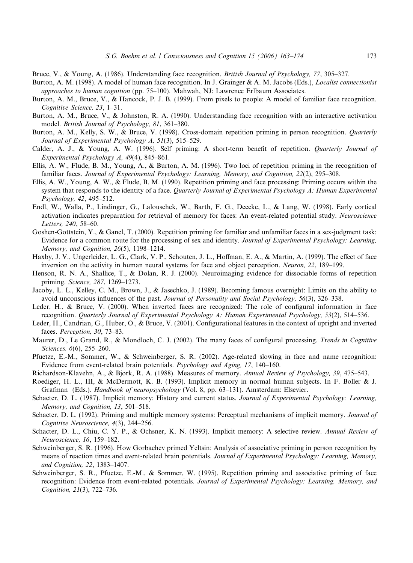- <span id="page-10-0"></span>Bruce, V., & Young, A. (1986). Understanding face recognition. British Journal of Psychology, 77, 305–327.
- Burton, A. M. (1998). A model of human face recognition. In J. Grainger & A. M. Jacobs (Eds.), *Localist connectionist* approaches to human cognition (pp. 75–100). Mahwah, NJ: Lawrence Erlbaum Associates.
- Burton, A. M., Bruce, V., & Hancock, P. J. B. (1999). From pixels to people: A model of familiar face recognition. Cognitive Science, 23, 1–31.
- Burton, A. M., Bruce, V., & Johnston, R. A. (1990). Understanding face recognition with an interactive activation model. British Journal of Psychology, 81, 361–380.
- Burton, A. M., Kelly, S. W., & Bruce, V. (1998). Cross-domain repetition priming in person recognition. *Quarterly* Journal of Experimental Psychology A, 51(3), 515–529.
- Calder, A. J., & Young, A. W. (1996). Self priming: A short-term benefit of repetition. Quarterly Journal of Experimental Psychology A, 49(4), 845–861.
- Ellis, A. W., Flude, B. M., Young, A., & Burton, A. M. (1996). Two loci of repetition priming in the recognition of familiar faces. Journal of Experimental Psychology: Learning, Memory, and Cognition, 22(2), 295–308.
- Ellis, A. W., Young, A. W., & Flude, B. M. (1990). Repetition priming and face processing: Priming occurs within the system that responds to the identity of a face. Quarterly Journal of Experimental Psychology A: Human Experimental Psychology, 42, 495–512.
- Endl, W., Walla, P., Lindinger, G., Lalouschek, W., Barth, F. G., Deecke, L., & Lang, W. (1998). Early cortical activation indicates preparation for retrieval of memory for faces: An event-related potential study. Neuroscience Letters, 240, 58–60.
- Goshen-Gottstein, Y., & Ganel, T. (2000). Repetition priming for familiar and unfamiliar faces in a sex-judgment task: Evidence for a common route for the processing of sex and identity. Journal of Experimental Psychology: Learning, Memory, and Cognition, 26(5), 1198–1214.
- Haxby, J. V., Ungerleider, L. G., Clark, V. P., Schouten, J. L., Hoffman, E. A., & Martin, A. (1999). The effect of face inversion on the activity in human neural systems for face and object perception. Neuron, 22, 189–199.
- Henson, R. N. A., Shallice, T., & Dolan, R. J. (2000). Neuroimaging evidence for dissociable forms of repetition priming. Science, 287, 1269–1273.
- Jacoby, L. L., Kelley, C. M., Brown, J., & Jasechko, J. (1989). Becoming famous overnight: Limits on the ability to avoid unconscious influences of the past. Journal of Personality and Social Psychology, 56(3), 326–338.
- Leder, H., & Bruce, V. (2000). When inverted faces are recognized: The role of configural information in face recognition. Quarterly Journal of Experimental Psychology A: Human Experimental Psychology, 53(2), 514–536.
- Leder, H., Candrian, G., Huber, O., & Bruce, V. (2001). Configurational features in the context of upright and inverted faces. Perception, 30, 73–83.
- Maurer, D., Le Grand, R., & Mondloch, C. J. (2002). The many faces of configural processing. Trends in Cognitive Sciences, 6(6), 255–260.
- Pfuetze, E.-M., Sommer, W., & Schweinberger, S. R. (2002). Age-related slowing in face and name recognition: Evidence from event-related brain potentials. Psychology and Aging, 17, 140–160.
- Richardson-Klavehn, A., & Bjork, R. A. (1988). Measures of memory. Annual Review of Psychology, 39, 475–543.
- Roediger, H. L., III, & McDermott, K. B. (1993). Implicit memory in normal human subjects. In F. Boller & J. Grafman (Eds.). Handbook of neuropsychology (Vol. 8, pp. 63–131). Amsterdam: Elsevier.
- Schacter, D. L. (1987). Implicit memory: History and current status. Journal of Experimental Psychology: Learning, Memory, and Cognition, 13, 501–518.
- Schacter, D. L. (1992). Priming and multiple memory systems: Perceptual mechanisms of implicit memory. *Journal of* Cognitive Neuroscience, 4(3), 244–256.
- Schacter, D. L., Chiu, C. Y. P., & Ochsner, K. N. (1993). Implicit memory: A selective review. Annual Review of Neuroscience, 16, 159–182.
- Schweinberger, S. R. (1996). How Gorbachev primed Yeltsin: Analysis of associative priming in person recognition by means of reaction times and event-related brain potentials. Journal of Experimental Psychology: Learning, Memory, and Cognition, 22, 1383–1407.
- Schweinberger, S. R., Pfuetze, E.-M., & Sommer, W. (1995). Repetition priming and associative priming of face recognition: Evidence from event-related potentials. Journal of Experimental Psychology: Learning, Memory, and Cognition, 21(3), 722–736.